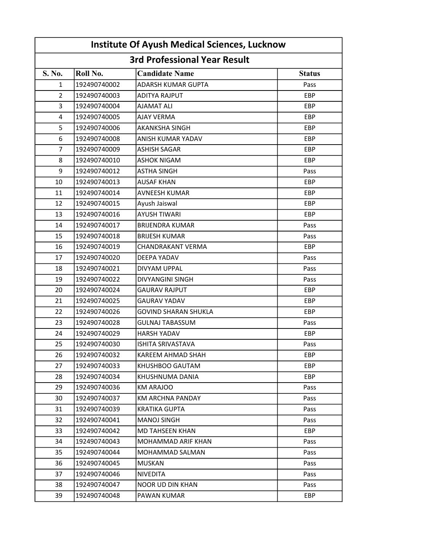| <b>Institute Of Ayush Medical Sciences, Lucknow</b><br><b>3rd Professional Year Result</b> |              |                             |            |  |  |
|--------------------------------------------------------------------------------------------|--------------|-----------------------------|------------|--|--|
|                                                                                            |              |                             |            |  |  |
| 1                                                                                          | 192490740002 | ADARSH KUMAR GUPTA          | Pass       |  |  |
| $\overline{2}$                                                                             | 192490740003 | <b>ADITYA RAJPUT</b>        | EBP        |  |  |
| 3                                                                                          | 192490740004 | <b>AJAMAT ALI</b>           | <b>EBP</b> |  |  |
| 4                                                                                          | 192490740005 | AJAY VERMA                  | EBP        |  |  |
| 5                                                                                          | 192490740006 | <b>AKANKSHA SINGH</b>       | EBP        |  |  |
| 6                                                                                          | 192490740008 | ANISH KUMAR YADAV           | <b>EBP</b> |  |  |
| 7                                                                                          | 192490740009 | <b>ASHISH SAGAR</b>         | <b>EBP</b> |  |  |
| 8                                                                                          | 192490740010 | <b>ASHOK NIGAM</b>          | EBP        |  |  |
| 9                                                                                          | 192490740012 | <b>ASTHA SINGH</b>          | Pass       |  |  |
| 10                                                                                         | 192490740013 | <b>AUSAF KHAN</b>           | EBP        |  |  |
| 11                                                                                         | 192490740014 | <b>AVNEESH KUMAR</b>        | EBP        |  |  |
| 12                                                                                         | 192490740015 | Ayush Jaiswal               | EBP        |  |  |
| 13                                                                                         | 192490740016 | <b>AYUSH TIWARI</b>         | EBP        |  |  |
| 14                                                                                         | 192490740017 | <b>BRIJENDRA KUMAR</b>      | Pass       |  |  |
| 15                                                                                         | 192490740018 | <b>BRIJESH KUMAR</b>        | Pass       |  |  |
| 16                                                                                         | 192490740019 | CHANDRAKANT VERMA           | <b>EBP</b> |  |  |
| 17                                                                                         | 192490740020 | DEEPA YADAV                 | Pass       |  |  |
| 18                                                                                         | 192490740021 | DIVYAM UPPAL                | Pass       |  |  |
| 19                                                                                         | 192490740022 | <b>DIVYANGINI SINGH</b>     | Pass       |  |  |
| 20                                                                                         | 192490740024 | <b>GAURAV RAJPUT</b>        | EBP        |  |  |
| 21                                                                                         | 192490740025 | <b>GAURAV YADAV</b>         | EBP        |  |  |
| 22                                                                                         | 192490740026 | <b>GOVIND SHARAN SHUKLA</b> | <b>EBP</b> |  |  |
| 23                                                                                         | 192490740028 | <b>GULNAJ TABASSUM</b>      | Pass       |  |  |
| 24                                                                                         | 192490740029 | <b>HARSH YADAV</b>          | EBP        |  |  |
| 25                                                                                         | 192490740030 | ISHITA SRIVASTAVA           | Pass       |  |  |
| 26                                                                                         | 192490740032 | KAREEM AHMAD SHAH           | EBP        |  |  |
| 27                                                                                         | 192490740033 | KHUSHBOO GAUTAM             | EBP        |  |  |
| 28                                                                                         | 192490740034 | KHUSHNUMA DANIA             | <b>EBP</b> |  |  |
| 29                                                                                         | 192490740036 | KM ARAJOO                   | Pass       |  |  |
| 30                                                                                         | 192490740037 | KM ARCHNA PANDAY            | Pass       |  |  |
| 31                                                                                         | 192490740039 | KRATIKA GUPTA               | Pass       |  |  |
| 32                                                                                         | 192490740041 | MANOJ SINGH                 | Pass       |  |  |
| 33                                                                                         | 192490740042 | <b>MD TAHSEEN KHAN</b>      | <b>EBP</b> |  |  |
| 34                                                                                         | 192490740043 | MOHAMMAD ARIF KHAN          | Pass       |  |  |
| 35                                                                                         | 192490740044 | MOHAMMAD SALMAN             | Pass       |  |  |
| 36                                                                                         | 192490740045 | MUSKAN                      | Pass       |  |  |
| 37                                                                                         | 192490740046 | NIVEDITA                    | Pass       |  |  |
| 38                                                                                         | 192490740047 | <b>NOOR UD DIN KHAN</b>     | Pass       |  |  |
| 39                                                                                         | 192490740048 | PAWAN KUMAR                 | EBP        |  |  |